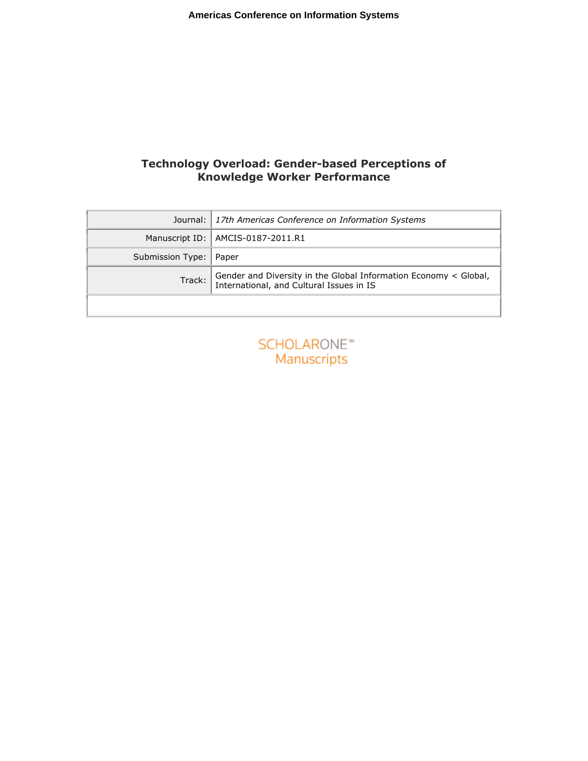# Technology Overload: Gender-based Perceptions of Knowledge Worker Performance

|                          | Journal: 17th Americas Conference on Information Systems                                                  |
|--------------------------|-----------------------------------------------------------------------------------------------------------|
|                          | Manuscript ID:   AMCIS-0187-2011.R1                                                                       |
| Submission Type:   Paper |                                                                                                           |
| Track:                   | Gender and Diversity in the Global Information Economy < Global, International, and Cultural Issues in IS |
|                          |                                                                                                           |

| SCHOLARONE <sup>*</sup> |  |
|-------------------------|--|
| <b>Manuscripts</b>      |  |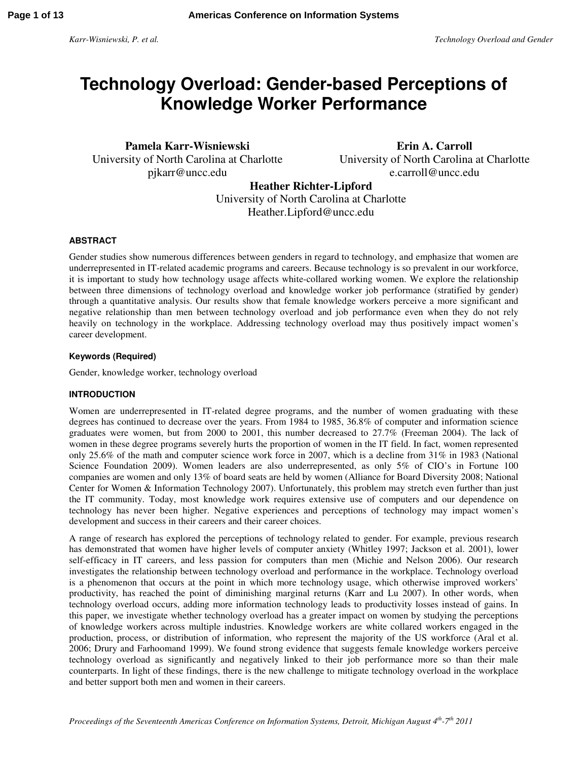# **Technology Overload: Gender-based Perceptions of Knowledge Worker Performance**

**Pamela Karr-Wisniewski**  University of North Carolina at Charlotte pjkarr@uncc.edu

**Erin A. Carroll**  University of North Carolina at Charlotte e.carroll@uncc.edu

**Heather Richter-Lipford** 

University of North Carolina at Charlotte Heather.Lipford@uncc.edu

## **ABSTRACT**

Gender studies show numerous differences between genders in regard to technology, and emphasize that women are underrepresented in IT-related academic programs and careers. Because technology is so prevalent in our workforce, it is important to study how technology usage affects white-collared working women. We explore the relationship between three dimensions of technology overload and knowledge worker job performance (stratified by gender) through a quantitative analysis. Our results show that female knowledge workers perceive a more significant and negative relationship than men between technology overload and job performance even when they do not rely heavily on technology in the workplace. Addressing technology overload may thus positively impact women's career development.

#### **Keywords (Required)**

Gender, knowledge worker, technology overload

#### **INTRODUCTION**

Women are underrepresented in IT-related degree programs, and the number of women graduating with these degrees has continued to decrease over the years. From 1984 to 1985, 36.8% of computer and information science graduates were women, but from 2000 to 2001, this number decreased to 27.7% (Freeman 2004). The lack of women in these degree programs severely hurts the proportion of women in the IT field. In fact, women represented only 25.6% of the math and computer science work force in 2007, which is a decline from 31% in 1983 (National Science Foundation 2009). Women leaders are also underrepresented, as only 5% of CIO's in Fortune 100 companies are women and only 13% of board seats are held by women (Alliance for Board Diversity 2008; National Center for Women & Information Technology 2007). Unfortunately, this problem may stretch even further than just the IT community. Today, most knowledge work requires extensive use of computers and our dependence on technology has never been higher. Negative experiences and perceptions of technology may impact women's development and success in their careers and their career choices.

A range of research has explored the perceptions of technology related to gender. For example, previous research has demonstrated that women have higher levels of computer anxiety (Whitley 1997; Jackson et al. 2001), lower self-efficacy in IT careers, and less passion for computers than men (Michie and Nelson 2006). Our research investigates the relationship between technology overload and performance in the workplace. Technology overload is a phenomenon that occurs at the point in which more technology usage, which otherwise improved workers' productivity, has reached the point of diminishing marginal returns (Karr and Lu 2007). In other words, when technology overload occurs, adding more information technology leads to productivity losses instead of gains. In this paper, we investigate whether technology overload has a greater impact on women by studying the perceptions of knowledge workers across multiple industries. Knowledge workers are white collared workers engaged in the production, process, or distribution of information, who represent the majority of the US workforce (Aral et al. 2006; Drury and Farhoomand 1999). We found strong evidence that suggests female knowledge workers perceive technology overload as significantly and negatively linked to their job performance more so than their male counterparts. In light of these findings, there is the new challenge to mitigate technology overload in the workplace and better support both men and women in their careers.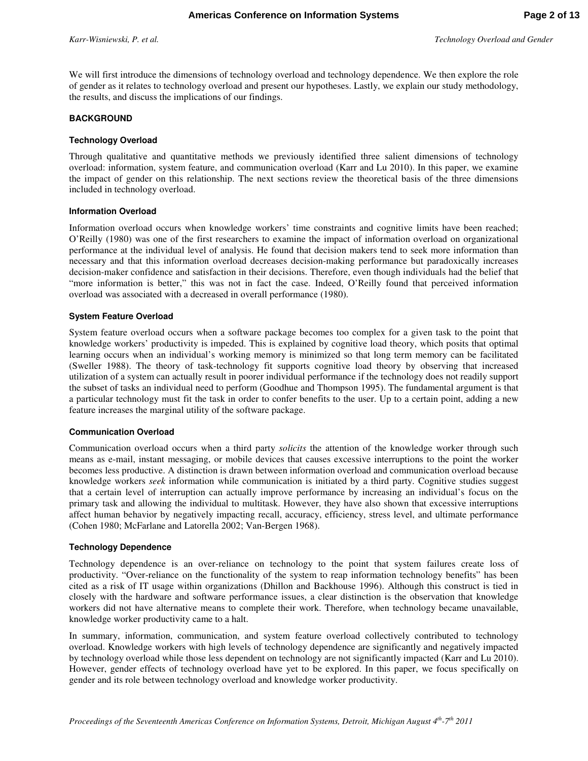We will first introduce the dimensions of technology overload and technology dependence. We then explore the role of gender as it relates to technology overload and present our hypotheses. Lastly, we explain our study methodology, the results, and discuss the implications of our findings.

#### **BACKGROUND**

#### **Technology Overload**

Through qualitative and quantitative methods we previously identified three salient dimensions of technology overload: information, system feature, and communication overload (Karr and Lu 2010). In this paper, we examine the impact of gender on this relationship. The next sections review the theoretical basis of the three dimensions included in technology overload.

#### **Information Overload**

Information overload occurs when knowledge workers' time constraints and cognitive limits have been reached; O'Reilly (1980) was one of the first researchers to examine the impact of information overload on organizational performance at the individual level of analysis. He found that decision makers tend to seek more information than necessary and that this information overload decreases decision-making performance but paradoxically increases decision-maker confidence and satisfaction in their decisions. Therefore, even though individuals had the belief that "more information is better," this was not in fact the case. Indeed, O'Reilly found that perceived information overload was associated with a decreased in overall performance (1980).

#### **System Feature Overload**

System feature overload occurs when a software package becomes too complex for a given task to the point that knowledge workers' productivity is impeded. This is explained by cognitive load theory, which posits that optimal learning occurs when an individual's working memory is minimized so that long term memory can be facilitated (Sweller 1988). The theory of task-technology fit supports cognitive load theory by observing that increased utilization of a system can actually result in poorer individual performance if the technology does not readily support the subset of tasks an individual need to perform (Goodhue and Thompson 1995). The fundamental argument is that a particular technology must fit the task in order to confer benefits to the user. Up to a certain point, adding a new feature increases the marginal utility of the software package.

#### **Communication Overload**

Communication overload occurs when a third party *solicits* the attention of the knowledge worker through such means as e-mail, instant messaging, or mobile devices that causes excessive interruptions to the point the worker becomes less productive. A distinction is drawn between information overload and communication overload because knowledge workers *seek* information while communication is initiated by a third party. Cognitive studies suggest that a certain level of interruption can actually improve performance by increasing an individual's focus on the primary task and allowing the individual to multitask. However, they have also shown that excessive interruptions affect human behavior by negatively impacting recall, accuracy, efficiency, stress level, and ultimate performance (Cohen 1980; McFarlane and Latorella 2002; Van-Bergen 1968).

#### **Technology Dependence**

Technology dependence is an over-reliance on technology to the point that system failures create loss of productivity. "Over-reliance on the functionality of the system to reap information technology benefits" has been cited as a risk of IT usage within organizations (Dhillon and Backhouse 1996). Although this construct is tied in closely with the hardware and software performance issues, a clear distinction is the observation that knowledge workers did not have alternative means to complete their work. Therefore, when technology became unavailable, knowledge worker productivity came to a halt.

In summary, information, communication, and system feature overload collectively contributed to technology overload. Knowledge workers with high levels of technology dependence are significantly and negatively impacted by technology overload while those less dependent on technology are not significantly impacted (Karr and Lu 2010). However, gender effects of technology overload have yet to be explored. In this paper, we focus specifically on gender and its role between technology overload and knowledge worker productivity.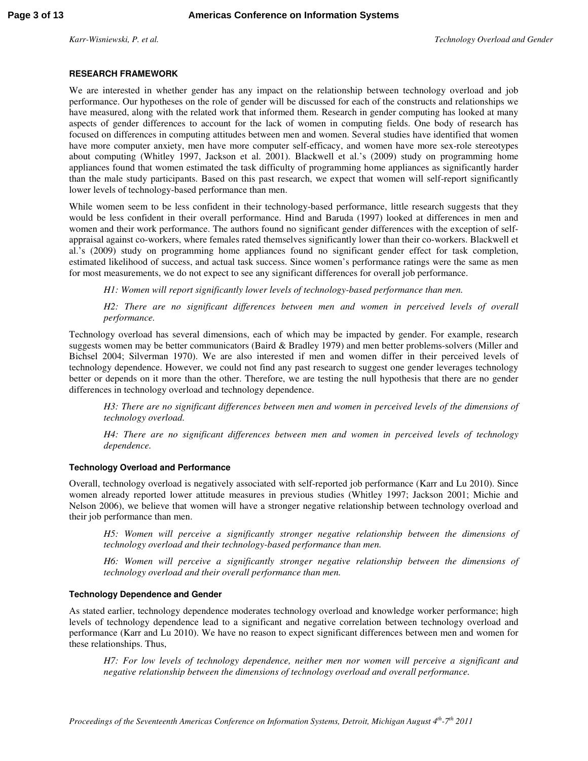#### **RESEARCH FRAMEWORK**

We are interested in whether gender has any impact on the relationship between technology overload and job performance. Our hypotheses on the role of gender will be discussed for each of the constructs and relationships we have measured, along with the related work that informed them. Research in gender computing has looked at many aspects of gender differences to account for the lack of women in computing fields. One body of research has focused on differences in computing attitudes between men and women. Several studies have identified that women have more computer anxiety, men have more computer self-efficacy, and women have more sex-role stereotypes about computing (Whitley 1997, Jackson et al. 2001). Blackwell et al.'s (2009) study on programming home appliances found that women estimated the task difficulty of programming home appliances as significantly harder than the male study participants. Based on this past research, we expect that women will self-report significantly lower levels of technology-based performance than men.

While women seem to be less confident in their technology-based performance, little research suggests that they would be less confident in their overall performance. Hind and Baruda (1997) looked at differences in men and women and their work performance. The authors found no significant gender differences with the exception of selfappraisal against co-workers, where females rated themselves significantly lower than their co-workers. Blackwell et al.'s (2009) study on programming home appliances found no significant gender effect for task completion, estimated likelihood of success, and actual task success. Since women's performance ratings were the same as men for most measurements, we do not expect to see any significant differences for overall job performance.

*H1: Women will report significantly lower levels of technology-based performance than men.* 

*H2: There are no significant differences between men and women in perceived levels of overall performance.* 

Technology overload has several dimensions, each of which may be impacted by gender. For example, research suggests women may be better communicators (Baird & Bradley 1979) and men better problems-solvers (Miller and Bichsel 2004; Silverman 1970). We are also interested if men and women differ in their perceived levels of technology dependence. However, we could not find any past research to suggest one gender leverages technology better or depends on it more than the other. Therefore, we are testing the null hypothesis that there are no gender differences in technology overload and technology dependence.

*H3: There are no significant differences between men and women in perceived levels of the dimensions of technology overload.* 

*H4: There are no significant differences between men and women in perceived levels of technology dependence.* 

#### **Technology Overload and Performance**

Overall, technology overload is negatively associated with self-reported job performance (Karr and Lu 2010). Since women already reported lower attitude measures in previous studies (Whitley 1997; Jackson 2001; Michie and Nelson 2006), we believe that women will have a stronger negative relationship between technology overload and their job performance than men.

*H5: Women will perceive a significantly stronger negative relationship between the dimensions of technology overload and their technology-based performance than men.* 

*H6: Women will perceive a significantly stronger negative relationship between the dimensions of technology overload and their overall performance than men.* 

#### **Technology Dependence and Gender**

As stated earlier, technology dependence moderates technology overload and knowledge worker performance; high levels of technology dependence lead to a significant and negative correlation between technology overload and performance (Karr and Lu 2010). We have no reason to expect significant differences between men and women for these relationships. Thus,

*H7: For low levels of technology dependence, neither men nor women will perceive a significant and negative relationship between the dimensions of technology overload and overall performance.*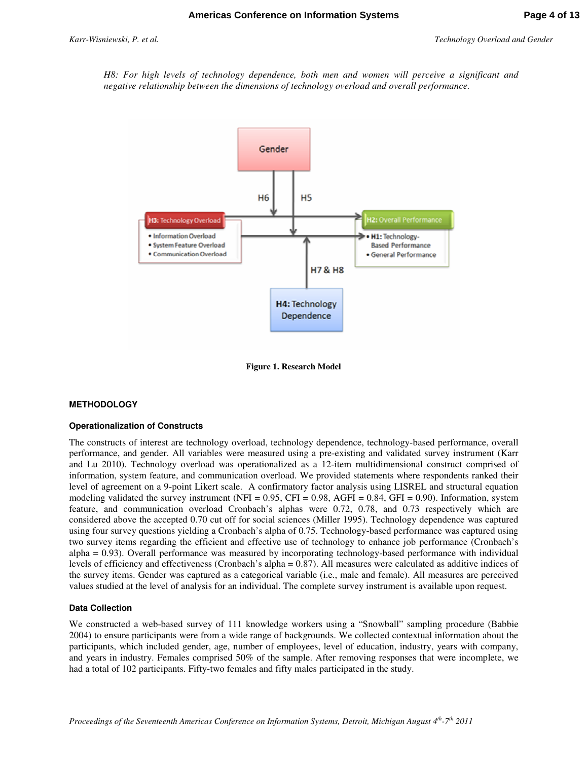*H8: For high levels of technology dependence, both men and women will perceive a significant and negative relationship between the dimensions of technology overload and overall performance.* 



**Figure 1. Research Model** 

#### **METHODOLOGY**

#### **Operationalization of Constructs**

The constructs of interest are technology overload, technology dependence, technology-based performance, overall performance, and gender. All variables were measured using a pre-existing and validated survey instrument (Karr and Lu 2010). Technology overload was operationalized as a 12-item multidimensional construct comprised of information, system feature, and communication overload. We provided statements where respondents ranked their level of agreement on a 9-point Likert scale. A confirmatory factor analysis using LISREL and structural equation modeling validated the survey instrument (NFI = 0.95, CFI = 0.98, AGFI = 0.84, GFI = 0.90). Information, system feature, and communication overload Cronbach's alphas were 0.72, 0.78, and 0.73 respectively which are considered above the accepted 0.70 cut off for social sciences (Miller 1995). Technology dependence was captured using four survey questions yielding a Cronbach's alpha of 0.75. Technology-based performance was captured using two survey items regarding the efficient and effective use of technology to enhance job performance (Cronbach's alpha = 0.93). Overall performance was measured by incorporating technology-based performance with individual levels of efficiency and effectiveness (Cronbach's alpha = 0.87). All measures were calculated as additive indices of the survey items. Gender was captured as a categorical variable (i.e., male and female). All measures are perceived values studied at the level of analysis for an individual. The complete survey instrument is available upon request.

#### **Data Collection**

We constructed a web-based survey of 111 knowledge workers using a "Snowball" sampling procedure (Babbie 2004) to ensure participants were from a wide range of backgrounds. We collected contextual information about the participants, which included gender, age, number of employees, level of education, industry, years with company, and years in industry. Females comprised 50% of the sample. After removing responses that were incomplete, we had a total of 102 participants. Fifty-two females and fifty males participated in the study.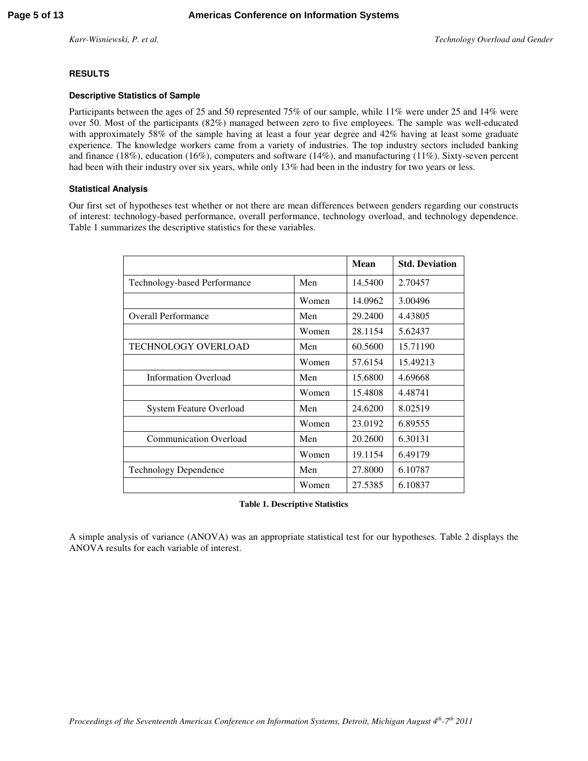## **RESULTS**

#### **Descriptive Statistics of Sample**

Participants between the ages of 25 and 50 represented 75% of our sample, while 11% were under 25 and 14% were over 50. Most of the participants (82%) managed between zero to five employees. The sample was well-educated with approximately 58% of the sample having at least a four year degree and 42% having at least some graduate experience. The knowledge workers came from a variety of industries. The top industry sectors included banking and finance (18%), education (16%), computers and software (14%), and manufacturing (11%). Sixty-seven percent had been with their industry over six years, while only 13% had been in the industry for two years or less.

#### **Statistical Analysis**

Our first set of hypotheses test whether or not there are mean differences between genders regarding our constructs of interest: technology-based performance, overall performance, technology overload, and technology dependence. Table 1 summarizes the descriptive statistics for these variables.

|                                |       | <b>Mean</b> | <b>Std. Deviation</b> |
|--------------------------------|-------|-------------|-----------------------|
| Technology-based Performance   | Men   | 14.5400     | 2.70457               |
|                                | Women | 14.0962     | 3.00496               |
| <b>Overall Performance</b>     | Men   | 29.2400     | 4.43805               |
|                                | Women | 28.1154     | 5.62437               |
| <b>TECHNOLOGY OVERLOAD</b>     | Men   | 60.5600     | 15.71190              |
|                                | Women | 57.6154     | 15.49213              |
| <b>Information Overload</b>    | Men   | 15.6800     | 4.69668               |
|                                | Women | 15.4808     | 4.48741               |
| <b>System Feature Overload</b> | Men   | 24.6200     | 8.02519               |
|                                | Women | 23.0192     | 6.89555               |
| <b>Communication Overload</b>  | Men   | 20.2600     | 6.30131               |
|                                | Women | 19.1154     | 6.49179               |
| <b>Technology Dependence</b>   | Men   | 27.8000     | 6.10787               |
|                                | Women | 27.5385     | 6.10837               |

#### **Table 1. Descriptive Statistics**

A simple analysis of variance (ANOVA) was an appropriate statistical test for our hypotheses. Table 2 displays the ANOVA results for each variable of interest.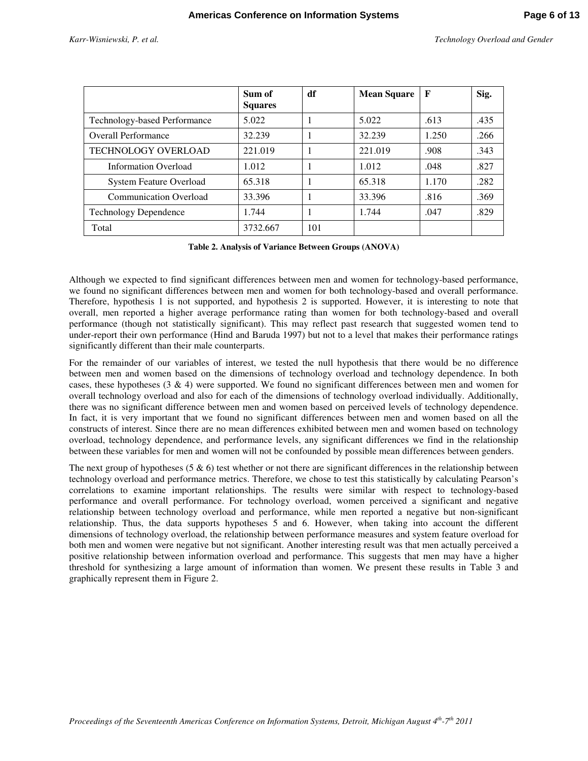| Technology Overload and Gender |  |  |
|--------------------------------|--|--|
|                                |  |  |

|                                | Sum of<br><b>Squares</b> | df  | <b>Mean Square</b> | $\mathbf{F}$ | Sig. |
|--------------------------------|--------------------------|-----|--------------------|--------------|------|
| Technology-based Performance   | 5.022                    |     | 5.022              | .613         | .435 |
| <b>Overall Performance</b>     | 32.239                   |     | 32.239             | 1.250        | .266 |
| <b>TECHNOLOGY OVERLOAD</b>     | 221.019                  |     | 221.019            | .908         | .343 |
| <b>Information Overload</b>    | 1.012                    |     | 1.012              | .048         | .827 |
| <b>System Feature Overload</b> | 65.318                   |     | 65.318             | 1.170        | .282 |
| <b>Communication Overload</b>  | 33.396                   |     | 33.396             | .816         | .369 |
| <b>Technology Dependence</b>   | 1.744                    |     | 1.744              | .047         | .829 |
| Total                          | 3732.667                 | 101 |                    |              |      |

**Table 2. Analysis of Variance Between Groups (ANOVA)** 

Although we expected to find significant differences between men and women for technology-based performance, we found no significant differences between men and women for both technology-based and overall performance. Therefore, hypothesis 1 is not supported, and hypothesis 2 is supported. However, it is interesting to note that overall, men reported a higher average performance rating than women for both technology-based and overall performance (though not statistically significant). This may reflect past research that suggested women tend to under-report their own performance (Hind and Baruda 1997) but not to a level that makes their performance ratings significantly different than their male counterparts.

For the remainder of our variables of interest, we tested the null hypothesis that there would be no difference between men and women based on the dimensions of technology overload and technology dependence. In both cases, these hypotheses (3 & 4) were supported. We found no significant differences between men and women for overall technology overload and also for each of the dimensions of technology overload individually. Additionally, there was no significant difference between men and women based on perceived levels of technology dependence. In fact, it is very important that we found no significant differences between men and women based on all the constructs of interest. Since there are no mean differences exhibited between men and women based on technology overload, technology dependence, and performance levels, any significant differences we find in the relationship between these variables for men and women will not be confounded by possible mean differences between genders.

The next group of hypotheses (5  $\&$  6) test whether or not there are significant differences in the relationship between technology overload and performance metrics. Therefore, we chose to test this statistically by calculating Pearson's correlations to examine important relationships. The results were similar with respect to technology-based performance and overall performance. For technology overload, women perceived a significant and negative relationship between technology overload and performance, while men reported a negative but non-significant relationship. Thus, the data supports hypotheses 5 and 6. However, when taking into account the different dimensions of technology overload, the relationship between performance measures and system feature overload for both men and women were negative but not significant. Another interesting result was that men actually perceived a positive relationship between information overload and performance. This suggests that men may have a higher threshold for synthesizing a large amount of information than women. We present these results in Table 3 and graphically represent them in Figure 2.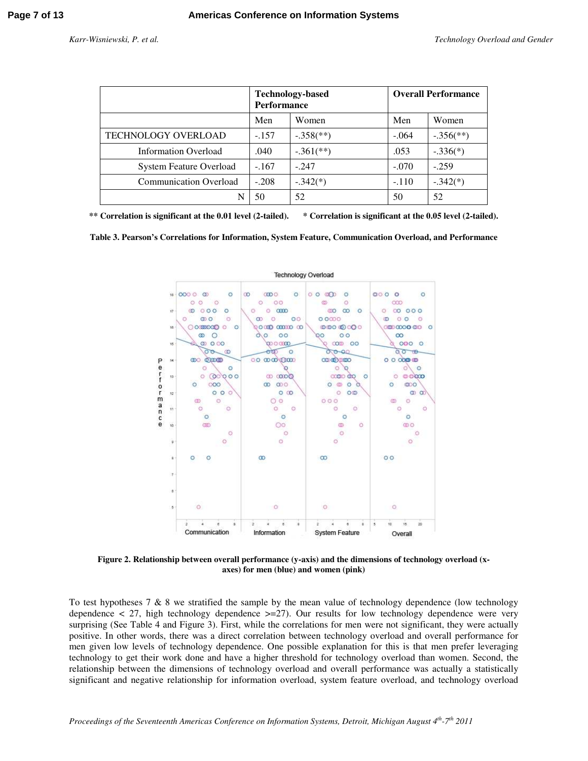|                                | <b>Technology-based</b><br><b>Performance</b> |                           | <b>Overall Performance</b> |                           |
|--------------------------------|-----------------------------------------------|---------------------------|----------------------------|---------------------------|
|                                | Men                                           | Women                     | Men                        | Women                     |
| TECHNOLOGY OVERLOAD            | $-.157$                                       | $-.358$ <sup>(**)</sup> ) | $-.064$                    | $-.356$ <sup>(**)</sup> ) |
| <b>Information Overload</b>    | .040                                          | $-.361$ <sup>**</sup> )   | .053                       | $-.336(*)$                |
| <b>System Feature Overload</b> | $-.167$                                       | $-.247$                   | $-.070$                    | $-.259$                   |
| <b>Communication Overload</b>  | $-.208$                                       | $-.342(*)$                | $-.110$                    | $-.342(*)$                |
|                                | 50                                            | 52                        | 50                         | 52                        |

**\*\* Correlation is significant at the 0.01 level (2-tailed). \* Correlation is significant at the 0.05 level (2-tailed).** 

**Table 3. Pearson's Correlations for Information, System Feature, Communication Overload, and Performance** 



**Figure 2. Relationship between overall performance (y-axis) and the dimensions of technology overload (xaxes) for men (blue) and women (pink)** 

To test hypotheses  $7 \& 8$  we stratified the sample by the mean value of technology dependence (low technology dependence  $\langle 27, \text{high technology dependence} \rangle = 27$ . Our results for low technology dependence were very surprising (See Table 4 and Figure 3). First, while the correlations for men were not significant, they were actually positive. In other words, there was a direct correlation between technology overload and overall performance for men given low levels of technology dependence. One possible explanation for this is that men prefer leveraging technology to get their work done and have a higher threshold for technology overload than women. Second, the relationship between the dimensions of technology overload and overall performance was actually a statistically significant and negative relationship for information overload, system feature overload, and technology overload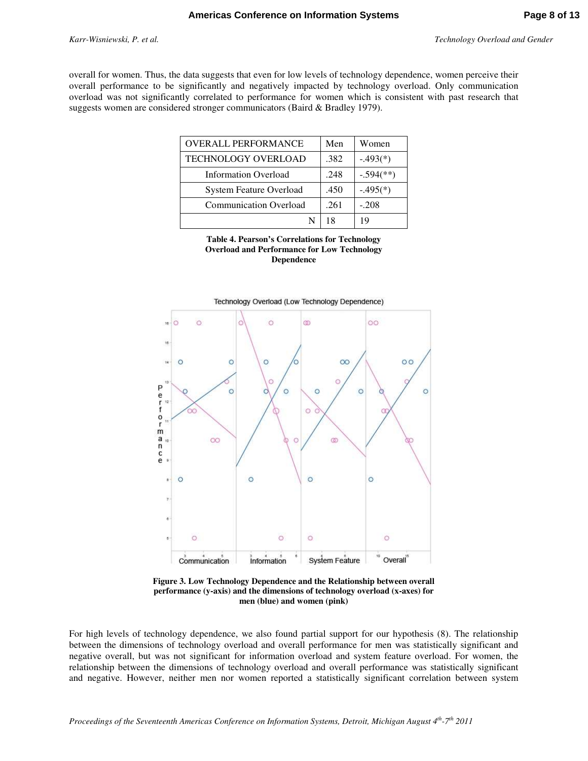overall for women. Thus, the data suggests that even for low levels of technology dependence, women perceive their overall performance to be significantly and negatively impacted by technology overload. Only communication overload was not significantly correlated to performance for women which is consistent with past research that suggests women are considered stronger communicators (Baird & Bradley 1979).

| <b>OVERALL PERFORMANCE</b>     | Men  | Women                     |
|--------------------------------|------|---------------------------|
| <b>TECHNOLOGY OVERLOAD</b>     | .382 | $-.493(*)$                |
| <b>Information Overload</b>    | .248 | $-.594$ <sup>(**)</sup> ) |
| <b>System Feature Overload</b> | .450 | $-.495(*)$                |
| <b>Communication Overload</b>  | .261 | $-.208$                   |
|                                | 18   | 19                        |





**Figure 3. Low Technology Dependence and the Relationship between overall performance (y-axis) and the dimensions of technology overload (x-axes) for men (blue) and women (pink)** 

For high levels of technology dependence, we also found partial support for our hypothesis (8). The relationship between the dimensions of technology overload and overall performance for men was statistically significant and negative overall, but was not significant for information overload and system feature overload. For women, the relationship between the dimensions of technology overload and overall performance was statistically significant and negative. However, neither men nor women reported a statistically significant correlation between system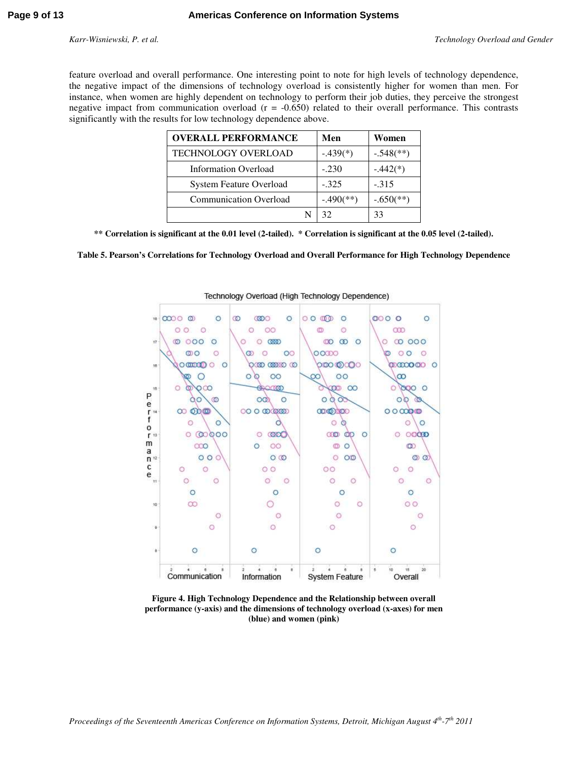feature overload and overall performance. One interesting point to note for high levels of technology dependence, the negative impact of the dimensions of technology overload is consistently higher for women than men. For instance, when women are highly dependent on technology to perform their job duties, they perceive the strongest negative impact from communication overload (r = -0.650) related to their overall performance. This contrasts significantly with the results for low technology dependence above.

| <b>OVERALL PERFORMANCE</b>     | Men          | Women                     |
|--------------------------------|--------------|---------------------------|
| <b>TECHNOLOGY OVERLOAD</b>     | $-.439(*)$   | $-.548$ <sup>(**)</sup> ) |
| <b>Information Overload</b>    | $-.230$      | $-.442(*)$                |
| <b>System Feature Overload</b> | $-.325$      | $-.315$                   |
| <b>Communication Overload</b>  | $-.490$ (**) | $-.650$ <sup>(**)</sup> ) |
|                                |              | 33                        |

**\*\* Correlation is significant at the 0.01 level (2-tailed). \* Correlation is significant at the 0.05 level (2-tailed).** 

#### **Table 5. Pearson's Correlations for Technology Overload and Overall Performance for High Technology Dependence**



#### Technology Overload (High Technology Dependence)

**Figure 4. High Technology Dependence and the Relationship between overall performance (y-axis) and the dimensions of technology overload (x-axes) for men (blue) and women (pink)**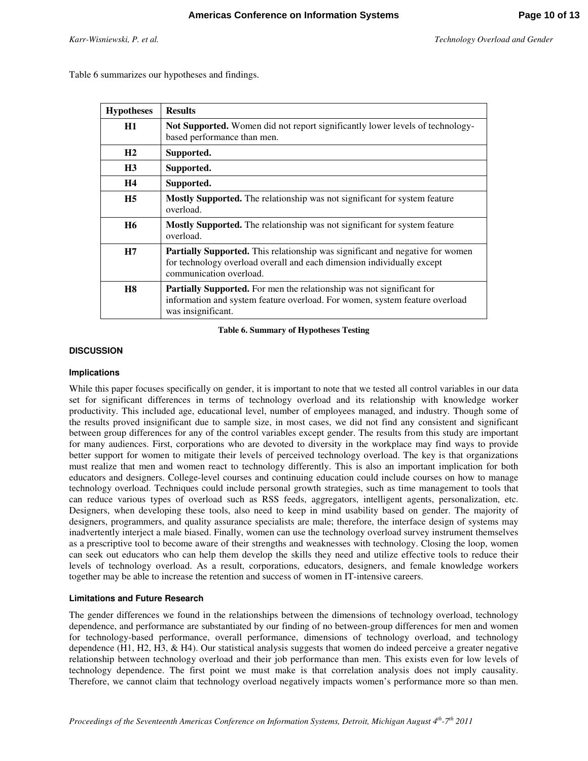Table 6 summarizes our hypotheses and findings.

| <b>Hypotheses</b> | <b>Results</b>                                                                                                                                                                            |
|-------------------|-------------------------------------------------------------------------------------------------------------------------------------------------------------------------------------------|
| H1                | Not Supported. Women did not report significantly lower levels of technology-<br>based performance than men.                                                                              |
| H2                | Supported.                                                                                                                                                                                |
| H3                | Supported.                                                                                                                                                                                |
| <b>H4</b>         | Supported.                                                                                                                                                                                |
| H <sub>5</sub>    | Mostly Supported. The relationship was not significant for system feature<br>overload.                                                                                                    |
| <b>H6</b>         | <b>Mostly Supported.</b> The relationship was not significant for system feature<br>overload.                                                                                             |
| H7                | <b>Partially Supported.</b> This relationship was significant and negative for women<br>for technology overload overall and each dimension individually except<br>communication overload. |
| <b>H8</b>         | <b>Partially Supported.</b> For men the relationship was not significant for<br>information and system feature overload. For women, system feature overload<br>was insignificant.         |

**Table 6. Summary of Hypotheses Testing** 

#### **DISCUSSION**

#### **Implications**

While this paper focuses specifically on gender, it is important to note that we tested all control variables in our data set for significant differences in terms of technology overload and its relationship with knowledge worker productivity. This included age, educational level, number of employees managed, and industry. Though some of the results proved insignificant due to sample size, in most cases, we did not find any consistent and significant between group differences for any of the control variables except gender. The results from this study are important for many audiences. First, corporations who are devoted to diversity in the workplace may find ways to provide better support for women to mitigate their levels of perceived technology overload. The key is that organizations must realize that men and women react to technology differently. This is also an important implication for both educators and designers. College-level courses and continuing education could include courses on how to manage technology overload. Techniques could include personal growth strategies, such as time management to tools that can reduce various types of overload such as RSS feeds, aggregators, intelligent agents, personalization, etc. Designers, when developing these tools, also need to keep in mind usability based on gender. The majority of designers, programmers, and quality assurance specialists are male; therefore, the interface design of systems may inadvertently interject a male biased. Finally, women can use the technology overload survey instrument themselves as a prescriptive tool to become aware of their strengths and weaknesses with technology. Closing the loop, women can seek out educators who can help them develop the skills they need and utilize effective tools to reduce their levels of technology overload. As a result, corporations, educators, designers, and female knowledge workers together may be able to increase the retention and success of women in IT-intensive careers.

#### **Limitations and Future Research**

The gender differences we found in the relationships between the dimensions of technology overload, technology dependence, and performance are substantiated by our finding of no between-group differences for men and women for technology-based performance, overall performance, dimensions of technology overload, and technology dependence (H1, H2, H3, & H4). Our statistical analysis suggests that women do indeed perceive a greater negative relationship between technology overload and their job performance than men. This exists even for low levels of technology dependence. The first point we must make is that correlation analysis does not imply causality. Therefore, we cannot claim that technology overload negatively impacts women's performance more so than men.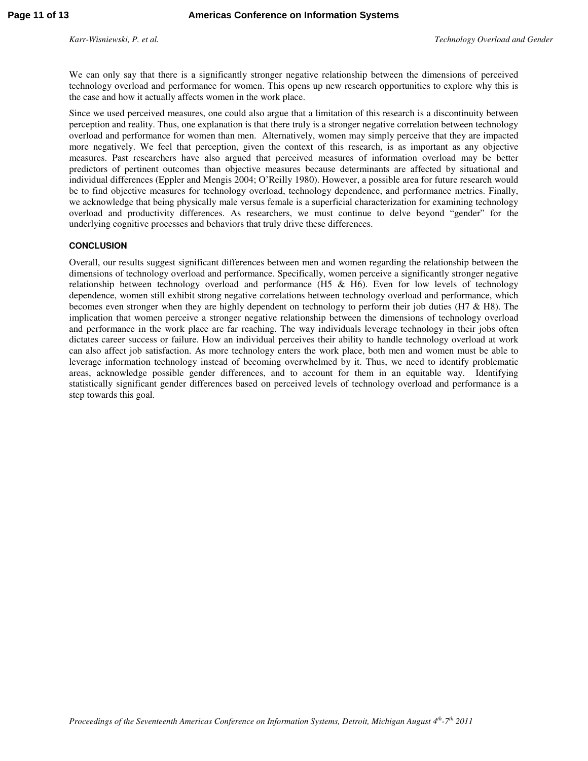We can only say that there is a significantly stronger negative relationship between the dimensions of perceived technology overload and performance for women. This opens up new research opportunities to explore why this is the case and how it actually affects women in the work place.

Since we used perceived measures, one could also argue that a limitation of this research is a discontinuity between perception and reality. Thus, one explanation is that there truly is a stronger negative correlation between technology overload and performance for women than men. Alternatively, women may simply perceive that they are impacted more negatively. We feel that perception, given the context of this research, is as important as any objective measures. Past researchers have also argued that perceived measures of information overload may be better predictors of pertinent outcomes than objective measures because determinants are affected by situational and individual differences (Eppler and Mengis 2004; O'Reilly 1980). However, a possible area for future research would be to find objective measures for technology overload, technology dependence, and performance metrics. Finally, we acknowledge that being physically male versus female is a superficial characterization for examining technology overload and productivity differences. As researchers, we must continue to delve beyond "gender" for the underlying cognitive processes and behaviors that truly drive these differences.

#### **CONCLUSION**

Overall, our results suggest significant differences between men and women regarding the relationship between the dimensions of technology overload and performance. Specifically, women perceive a significantly stronger negative relationship between technology overload and performance (H5 & H6). Even for low levels of technology dependence, women still exhibit strong negative correlations between technology overload and performance, which becomes even stronger when they are highly dependent on technology to perform their job duties (H7 & H8). The implication that women perceive a stronger negative relationship between the dimensions of technology overload and performance in the work place are far reaching. The way individuals leverage technology in their jobs often dictates career success or failure. How an individual perceives their ability to handle technology overload at work can also affect job satisfaction. As more technology enters the work place, both men and women must be able to leverage information technology instead of becoming overwhelmed by it. Thus, we need to identify problematic areas, acknowledge possible gender differences, and to account for them in an equitable way. Identifying statistically significant gender differences based on perceived levels of technology overload and performance is a step towards this goal.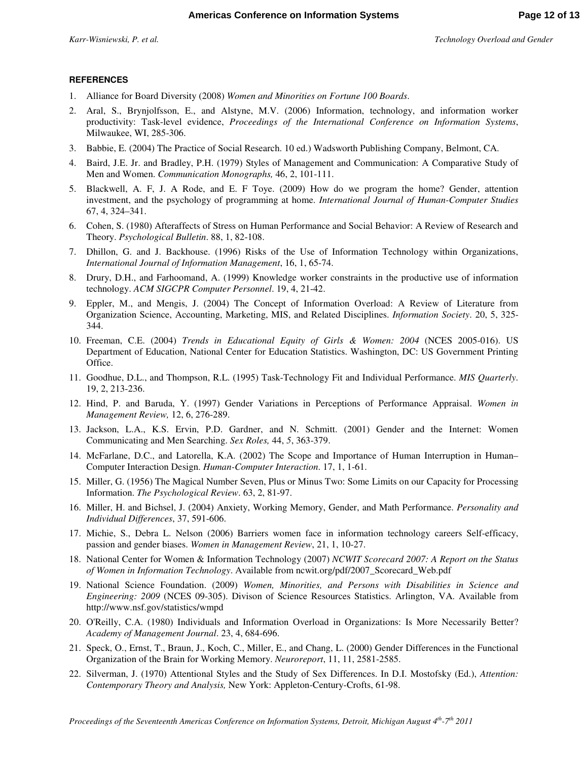#### **REFERENCES**

- 1. Alliance for Board Diversity (2008) *Women and Minorities on Fortune 100 Boards*.
- 2. Aral, S., Brynjolfsson, E., and Alstyne, M.V. (2006) Information, technology, and information worker productivity: Task-level evidence, *Proceedings of the International Conference on Information Systems*, Milwaukee, WI, 285-306.
- 3. Babbie, E. (2004) The Practice of Social Research. 10 ed.) Wadsworth Publishing Company, Belmont, CA.
- 4. Baird, J.E. Jr. and Bradley, P.H. (1979) Styles of Management and Communication: A Comparative Study of Men and Women. *Communication Monographs,* 46, 2, 101-111.
- 5. Blackwell, A. F, J. A Rode, and E. F Toye. (2009) How do we program the home? Gender, attention investment, and the psychology of programming at home. *International Journal of Human-Computer Studies*  67, 4, 324–341.
- 6. Cohen, S. (1980) Afteraffects of Stress on Human Performance and Social Behavior: A Review of Research and Theory. *Psychological Bulletin*. 88, 1, 82-108.
- 7. Dhillon, G. and J. Backhouse. (1996) Risks of the Use of Information Technology within Organizations, *International Journal of Information Management*, 16, 1, 65-74.
- 8. Drury, D.H., and Farhoomand, A. (1999) Knowledge worker constraints in the productive use of information technology. *ACM SIGCPR Computer Personnel*. 19, 4, 21-42.
- 9. Eppler, M., and Mengis, J. (2004) The Concept of Information Overload: A Review of Literature from Organization Science, Accounting, Marketing, MIS, and Related Disciplines. *Information Society*. 20, 5, 325- 344.
- 10. Freeman, C.E. (2004) *Trends in Educational Equity of Girls & Women: 2004* (NCES 2005-016). US Department of Education, National Center for Education Statistics. Washington, DC: US Government Printing Office.
- 11. Goodhue, D.L., and Thompson, R.L. (1995) Task-Technology Fit and Individual Performance. *MIS Quarterly*. 19, 2, 213-236.
- 12. Hind, P. and Baruda, Y. (1997) Gender Variations in Perceptions of Performance Appraisal. *Women in Management Review,* 12, 6, 276-289.
- 13. Jackson, L.A., K.S. Ervin, P.D. Gardner, and N. Schmitt. (2001) Gender and the Internet: Women Communicating and Men Searching. *Sex Roles,* 44, *5*, 363-379.
- 14. McFarlane, D.C., and Latorella, K.A. (2002) The Scope and Importance of Human Interruption in Human– Computer Interaction Design. *Human-Computer Interaction*. 17, 1, 1-61.
- 15. Miller, G. (1956) The Magical Number Seven, Plus or Minus Two: Some Limits on our Capacity for Processing Information. *The Psychological Review*. 63, 2, 81-97.
- 16. Miller, H. and Bichsel, J. (2004) Anxiety, Working Memory, Gender, and Math Performance. *Personality and Individual Differences*, 37, 591-606.
- 17. Michie, S., Debra L. Nelson (2006) Barriers women face in information technology careers Self-efficacy, passion and gender biases. *Women in Management Review*, 21, 1, 10-27.
- 18. National Center for Women & Information Technology (2007) *NCWIT Scorecard 2007: A Report on the Status of Women in Information Technology*. Available from ncwit.org/pdf/2007\_Scorecard\_Web.pdf
- 19. National Science Foundation. (2009) *Women, Minorities, and Persons with Disabilities in Science and Engineering: 2009* (NCES 09-305). Divison of Science Resources Statistics. Arlington, VA. Available from http://www.nsf.gov/statistics/wmpd
- 20. O'Reilly, C.A. (1980) Individuals and Information Overload in Organizations: Is More Necessarily Better? *Academy of Management Journal*. 23, 4, 684-696.
- 21. Speck, O., Ernst, T., Braun, J., Koch, C., Miller, E., and Chang, L. (2000) Gender Differences in the Functional Organization of the Brain for Working Memory. *Neuroreport*, 11, 11, 2581-2585.
- 22. Silverman, J. (1970) Attentional Styles and the Study of Sex Differences. In D.I. Mostofsky (Ed.), *Attention: Contemporary Theory and Analysis,* New York: Appleton-Century-Crofts, 61-98.